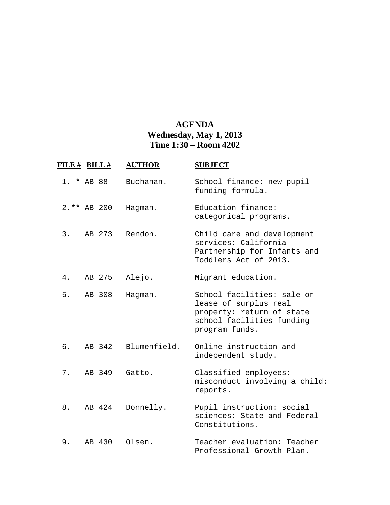## **AGENDA Wednesday, May 1, 2013 Time 1:30 – Room 4202**

|    | FILE # BILL # | <b>AUTHOR</b> | <b>SUBJECT</b>                                                                                                                  |
|----|---------------|---------------|---------------------------------------------------------------------------------------------------------------------------------|
|    | $1. * AB 88$  | Buchanan.     | School finance: new pupil<br>funding formula.                                                                                   |
|    | 2.** AB 200   | Hagman.       | Education finance:<br>categorical programs.                                                                                     |
| 3. | AB 273        | Rendon.       | Child care and development<br>services: California<br>Partnership for Infants and<br>Toddlers Act of 2013.                      |
| 4. | AB 275        | Alejo.        | Migrant education.                                                                                                              |
| 5. | AB 308        | Hagman.       | School facilities: sale or<br>lease of surplus real<br>property: return of state<br>school facilities funding<br>program funds. |
| б. | AB 342        | Blumenfield.  | Online instruction and<br>independent study.                                                                                    |
| 7. | AB 349        | Gatto.        | Classified employees:<br>misconduct involving a child:<br>reports.                                                              |
| 8. | AB 424        | Donnelly.     | Pupil instruction: social<br>sciences: State and Federal<br>Constitutions.                                                      |
| 9. | AB 430        | Olsen.        | Teacher evaluation: Teacher<br>Professional Growth Plan.                                                                        |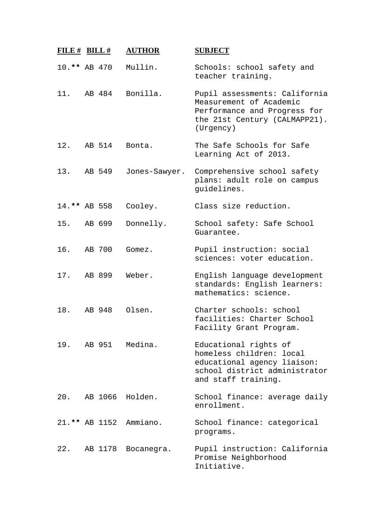| FILE $#$ BILL $#$ |         | <b>AUTHOR</b>          | <b>SUBJECT</b>                                                                                                                           |
|-------------------|---------|------------------------|------------------------------------------------------------------------------------------------------------------------------------------|
| 10.** AB 470      |         | Mullin.                | Schools: school safety and<br>teacher training.                                                                                          |
| 11.               | AB 484  | Bonilla.               | Pupil assessments: California<br>Measurement of Academic<br>Performance and Progress for<br>the 21st Century (CALMAPP21).<br>(Urgency)   |
| 12.               | AB 514  | Bonta.                 | The Safe Schools for Safe<br>Learning Act of 2013.                                                                                       |
| 13.               | AB 549  | Jones-Sawyer.          | Comprehensive school safety<br>plans: adult role on campus<br>guidelines.                                                                |
| 14.** AB 558      |         | Cooley.                | Class size reduction.                                                                                                                    |
| 15.               | AB 699  | Donnelly.              | School safety: Safe School<br>Guarantee.                                                                                                 |
| 16.               | AB 700  | Gomez.                 | Pupil instruction: social<br>sciences: voter education.                                                                                  |
| 17.               | AB 899  | Weber.                 | English language development<br>standards: English learners:<br>mathematics: science.                                                    |
| 18.               | AB 948  | Olsen.                 | Charter schools: school<br>facilities: Charter School<br>Facility Grant Program.                                                         |
|                   |         | 19. AB 951 Medina.     | Educational rights of<br>homeless children: local<br>educational agency liaison:<br>school district administrator<br>and staff training. |
|                   |         | 20. AB 1066 Holden.    | School finance: average daily<br>enrollment.                                                                                             |
|                   |         | 21.** AB 1152 Ammiano. | School finance: categorical<br>programs.                                                                                                 |
| 22.               | AB 1178 | Bocanegra.             | Pupil instruction: California<br>Promise Neighborhood<br>Initiative.                                                                     |